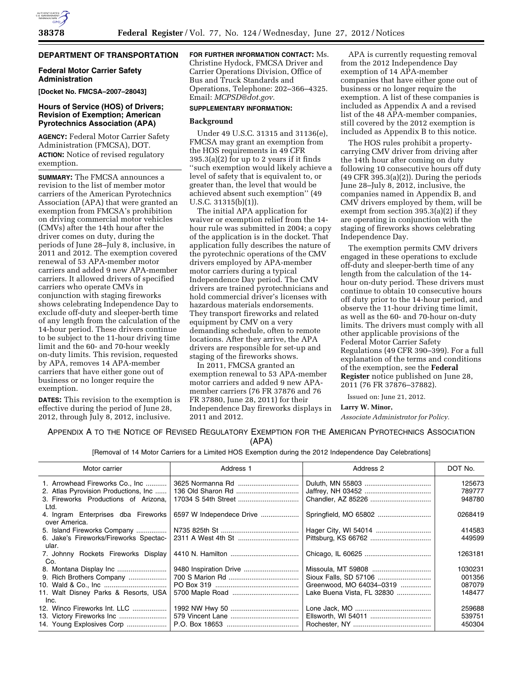## **DEPARTMENT OF TRANSPORTATION**

### **Federal Motor Carrier Safety Administration**

**[Docket No. FMCSA–2007–28043]** 

## **Hours of Service (HOS) of Drivers; Revision of Exemption; American Pyrotechnics Association (APA)**

**AGENCY:** Federal Motor Carrier Safety Administration (FMCSA), DOT. **ACTION:** Notice of revised regulatory exemption.

**SUMMARY:** The FMCSA announces a revision to the list of member motor carriers of the American Pyrotechnics Association (APA) that were granted an exemption from FMCSA's prohibition on driving commercial motor vehicles (CMVs) after the 14th hour after the driver comes on duty, during the periods of June 28–July 8, inclusive, in 2011 and 2012. The exemption covered renewal of 53 APA-member motor carriers and added 9 new APA-member carriers. It allowed drivers of specified carriers who operate CMVs in conjunction with staging fireworks shows celebrating Independence Day to exclude off-duty and sleeper-berth time of any length from the calculation of the 14-hour period. These drivers continue to be subject to the 11-hour driving time limit and the 60- and 70-hour weekly on-duty limits. This revision, requested by APA, removes 14 APA-member carriers that have either gone out of business or no longer require the exemption.

**DATES:** This revision to the exemption is effective during the period of June 28, 2012, through July 8, 2012, inclusive.

**FOR FURTHER INFORMATION CONTACT:** Ms. Christine Hydock, FMCSA Driver and Carrier Operations Division, Office of Bus and Truck Standards and Operations, Telephone: 202–366–4325. Email: *[MCPSD@dot.gov.](mailto:MCPSD@dot.gov)* 

## **SUPPLEMENTARY INFORMATION:**

#### **Background**

Under 49 U.S.C. 31315 and 31136(e), FMCSA may grant an exemption from the HOS requirements in 49 CFR 395.3(a)(2) for up to 2 years if it finds ''such exemption would likely achieve a level of safety that is equivalent to, or greater than, the level that would be achieved absent such exemption'' (49 U.S.C. 31315(b)(1)).

The initial APA application for waiver or exemption relief from the 14 hour rule was submitted in 2004; a copy of the application is in the docket. That application fully describes the nature of the pyrotechnic operations of the CMV drivers employed by APA-member motor carriers during a typical Independence Day period. The CMV drivers are trained pyrotechnicians and hold commercial driver's licenses with hazardous materials endorsements. They transport fireworks and related equipment by CMV on a very demanding schedule, often to remote locations. After they arrive, the APA drivers are responsible for set-up and staging of the fireworks shows.

In 2011, FMCSA granted an exemption renewal to 53 APA-member motor carriers and added 9 new APAmember carriers (76 FR 37876 and 76 FR 37880, June 28, 2011) for their Independence Day fireworks displays in 2011 and 2012.

APA is currently requesting removal from the 2012 Independence Day exemption of 14 APA-member companies that have either gone out of business or no longer require the exemption. A list of these companies is included as Appendix A and a revised list of the 48 APA-member companies, still covered by the 2012 exemption is included as Appendix B to this notice.

The HOS rules prohibit a propertycarrying CMV driver from driving after the 14th hour after coming on duty following 10 consecutive hours off duty (49 CFR 395.3(a)(2)). During the periods June 28–July 8, 2012, inclusive, the companies named in Appendix B, and CMV drivers employed by them, will be exempt from section 395.3(a)(2) if they are operating in conjunction with the staging of fireworks shows celebrating Independence Day.

The exemption permits CMV drivers engaged in these operations to exclude off-duty and sleeper-berth time of any length from the calculation of the 14 hour on-duty period. These drivers must continue to obtain 10 consecutive hours off duty prior to the 14-hour period, and observe the 11-hour driving time limit, as well as the 60- and 70-hour on-duty limits. The drivers must comply with all other applicable provisions of the Federal Motor Carrier Safety Regulations (49 CFR 390–399). For a full explanation of the terms and conditions of the exemption, see the **Federal Register** notice published on June 28, 2011 (76 FR 37876–37882).

Issued on: June 21, 2012.

### **Larry W. Minor,**

*Associate Administrator for Policy.* 

# APPENDIX A TO THE NOTICE OF REVISED REGULATORY EXEMPTION FOR THE AMERICAN PYROTECHNICS ASSOCIATION (APA)

[Removal of 14 Motor Carriers for a Limited HOS Exemption during the 2012 Independence Day Celebrations]

| Motor carrier                                        | Address 1                | Address 2                  | DOT No. |
|------------------------------------------------------|--------------------------|----------------------------|---------|
| 1. Arrowhead Fireworks Co., Inc                      |                          |                            | 125673  |
| 2. Atlas Pyrovision Productions, Inc                 |                          |                            | 789777  |
| 3. Fireworks Productions of Arizona.<br>Ltd.         |                          |                            | 948780  |
| 4. Ingram Enterprises dba Fireworks<br>over America. | 6597 W Independece Drive |                            | 0268419 |
| 5. Island Fireworks Company                          |                          |                            | 414583  |
| 6. Jake's Fireworks/Fireworks Spectac-               |                          |                            | 449599  |
| ular.                                                |                          |                            |         |
| 7. Johnny Rockets Fireworks Display                  |                          |                            | 1263181 |
| Co.                                                  |                          |                            |         |
|                                                      | 9480 Inspiration Drive   |                            | 1030231 |
| 9. Rich Brothers Company                             |                          |                            | 001356  |
|                                                      |                          | Greenwood, MO 64034-0319   | 087079  |
| 11. Walt Disney Parks & Resorts, USA                 |                          | Lake Buena Vista, FL 32830 | 148477  |
| Inc.                                                 |                          |                            |         |
| 12. Winco Fireworks Int. LLC                         |                          |                            | 259688  |
| 13. Victory Fireworks Inc                            |                          |                            | 539751  |
| 14. Young Explosives Corp                            |                          |                            | 450304  |